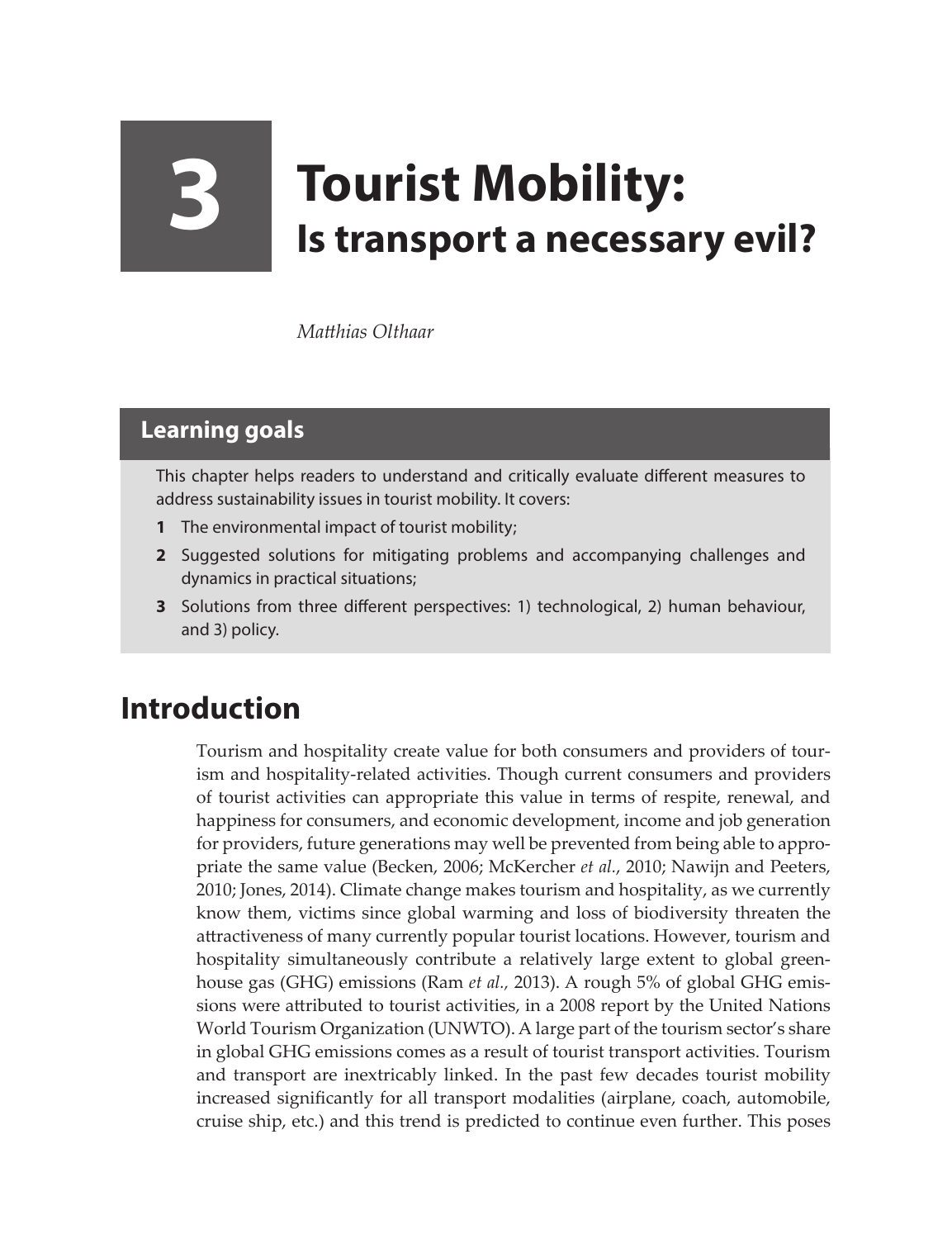## **3 Tourist Mobility: Is transport a necessary evil?**

*Matthias Olthaar*

## **Learning goals**

This chapter helps readers to understand and critically evaluate different measures to address sustainability issues in tourist mobility. It covers:

- **1** The environmental impact of tourist mobility;
- **2** Suggested solutions for mitigating problems and accompanying challenges and dynamics in practical situations;
- **3** Solutions from three different perspectives: 1) technological, 2) human behaviour, and 3) policy.

## **Introduction**

Tourism and hospitality create value for both consumers and providers of tourism and hospitality-related activities. Though current consumers and providers of tourist activities can appropriate this value in terms of respite, renewal, and happiness for consumers, and economic development, income and job generation for providers, future generations may well be prevented from being able to appropriate the same value (Becken, 2006; McKercher *et al.*, 2010; Nawijn and Peeters, 2010; Jones, 2014). Climate change makes tourism and hospitality, as we currently know them, victims since global warming and loss of biodiversity threaten the attractiveness of many currently popular tourist locations. However, tourism and hospitality simultaneously contribute a relatively large extent to global greenhouse gas (GHG) emissions (Ram *et al.,* 2013). A rough 5% of global GHG emissions were attributed to tourist activities, in a 2008 report by the United Nations World Tourism Organization (UNWTO). A large part of the tourism sector's share in global GHG emissions comes as a result of tourist transport activities. Tourism and transport are inextricably linked. In the past few decades tourist mobility increased significantly for all transport modalities (airplane, coach, automobile, cruise ship, etc.) and this trend is predicted to continue even further. This poses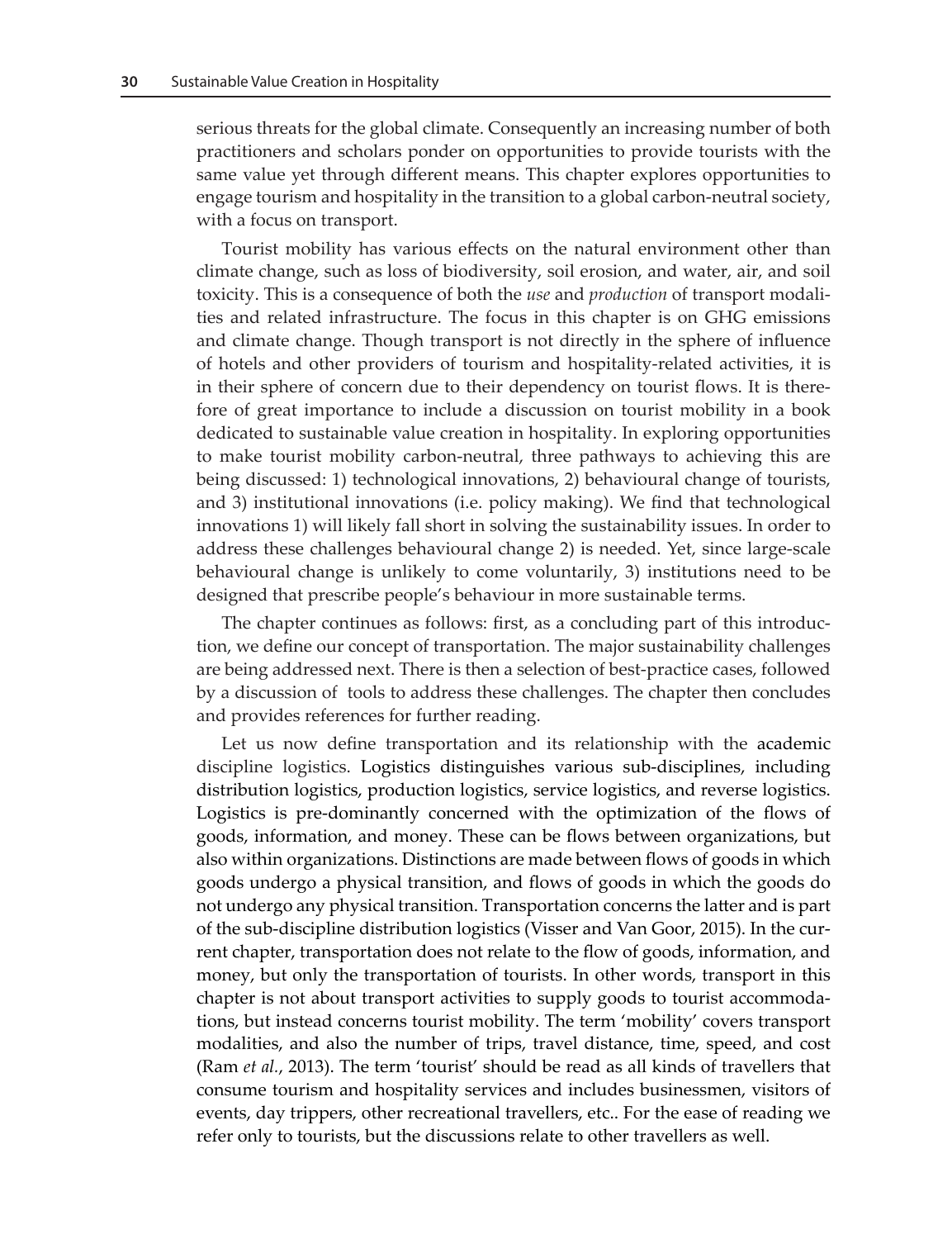serious threats for the global climate. Consequently an increasing number of both practitioners and scholars ponder on opportunities to provide tourists with the same value yet through different means. This chapter explores opportunities to engage tourism and hospitality in the transition to a global carbon-neutral society, with a focus on transport.

Tourist mobility has various effects on the natural environment other than climate change, such as loss of biodiversity, soil erosion, and water, air, and soil toxicity. This is a consequence of both the *use* and *production* of transport modalities and related infrastructure. The focus in this chapter is on GHG emissions and climate change. Though transport is not directly in the sphere of influence of hotels and other providers of tourism and hospitality-related activities, it is in their sphere of concern due to their dependency on tourist flows. It is therefore of great importance to include a discussion on tourist mobility in a book dedicated to sustainable value creation in hospitality. In exploring opportunities to make tourist mobility carbon-neutral, three pathways to achieving this are being discussed: 1) technological innovations, 2) behavioural change of tourists, and 3) institutional innovations (i.e. policy making). We find that technological innovations 1) will likely fall short in solving the sustainability issues. In order to address these challenges behavioural change 2) is needed. Yet, since large-scale behavioural change is unlikely to come voluntarily, 3) institutions need to be designed that prescribe people's behaviour in more sustainable terms.

The chapter continues as follows: first, as a concluding part of this introduction, we define our concept of transportation. The major sustainability challenges are being addressed next. There is then a selection of best-practice cases, followed by a discussion of tools to address these challenges. The chapter then concludes and provides references for further reading.

Let us now define transportation and its relationship with the academic discipline logistics. Logistics distinguishes various sub-disciplines, including distribution logistics, production logistics, service logistics, and reverse logistics. Logistics is pre-dominantly concerned with the optimization of the flows of goods, information, and money. These can be flows between organizations, but also within organizations. Distinctions are made between flows of goods in which goods undergo a physical transition, and flows of goods in which the goods do not undergo any physical transition. Transportation concerns the latter and is part of the sub-discipline distribution logistics (Visser and Van Goor, 2015). In the current chapter, transportation does not relate to the flow of goods, information, and money, but only the transportation of tourists. In other words, transport in this chapter is not about transport activities to supply goods to tourist accommodations, but instead concerns tourist mobility. The term 'mobility' covers transport modalities, and also the number of trips, travel distance, time, speed, and cost (Ram *et al.*, 2013). The term 'tourist' should be read as all kinds of travellers that consume tourism and hospitality services and includes businessmen, visitors of events, day trippers, other recreational travellers, etc.. For the ease of reading we refer only to tourists, but the discussions relate to other travellers as well.